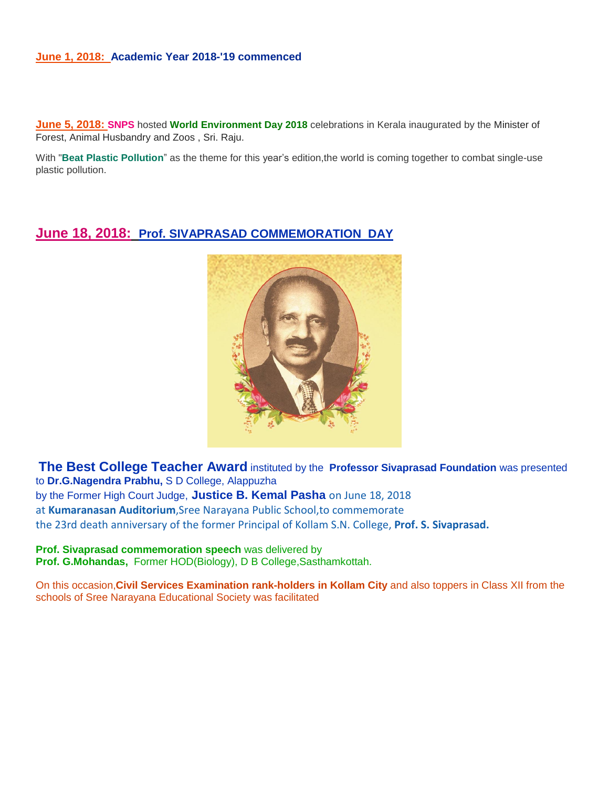#### **June 1, 2018: Academic Year 2018-'19 commenced**

**June 5, 2018: SNPS** hosted **World Environment Day 2018** celebrations in Kerala inaugurated by the Minister of Forest, Animal Husbandry and Zoos , Sri. Raju.

With "**Beat Plastic Pollution**" as the theme for this year's edition,the world is coming together to combat single-use plastic pollution.

### **June 18, 2018: Prof. SIVAPRASAD COMMEMORATION DAY**



**The Best College Teacher Award** instituted by the **Professor Sivaprasad Foundation** was presented to **Dr.G.Nagendra Prabhu,** S D College, Alappuzha by the Former High Court Judge, **Justice B. Kemal Pasha** on June 18, 2018 at **Kumaranasan Auditorium**,Sree Narayana Public School,to commemorate the 23rd death anniversary of the former Principal of Kollam S.N. College, **Prof. S. Sivaprasad.**

**Prof. Sivaprasad commemoration speech** was delivered by **Prof. G.Mohandas,** Former HOD(Biology), D B College,Sasthamkottah.

On this occasion,**Civil Services Examination rank-holders in Kollam City** and also toppers in Class XII from the schools of Sree Narayana Educational Society was facilitated